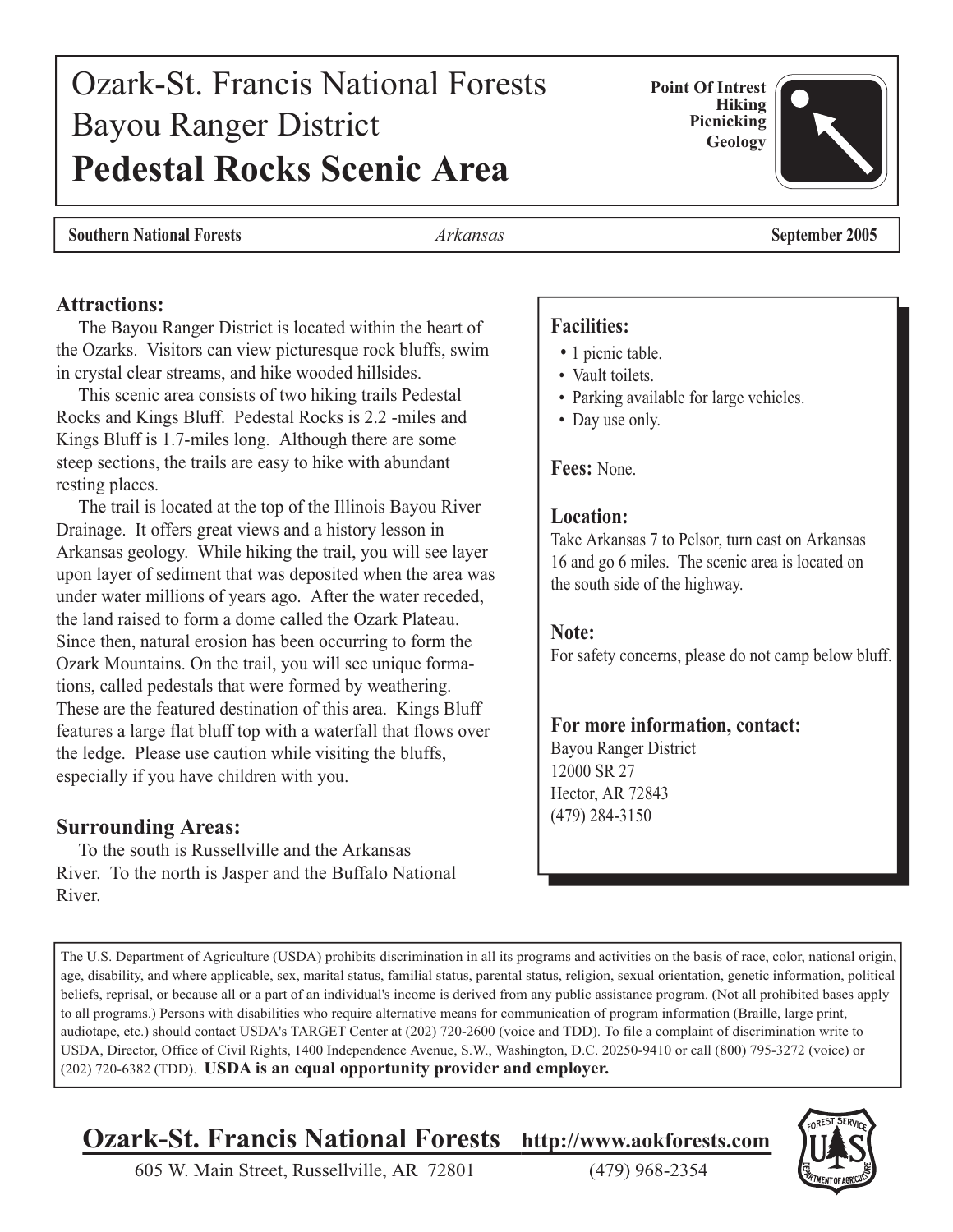# Ozark-St. Francis National Forests Bayou Ranger District **Pedestal Rocks Scenic Area**

**Ozark-St. Francis National Forests http://www.aokforests.com**

The U.S. Department of Agriculture (USDA) prohibits discrimination in all its programs and activities on the basis of race, color, national origin, age, disability, and where applicable, sex, marital status, familial status, parental status, religion, sexual orientation, genetic information, political beliefs, reprisal, or because all or a part of an individual's income is derived from any public assistance program. (Not all prohibited bases apply to all programs.) Persons with disabilities who require alternative means for communication of program information (Braille, large print, audiotape, etc.) should contact USDA's TARGET Center at (202) 720-2600 (voice and TDD). To file a complaint of discrimination write to USDA, Director, Office of Civil Rights, 1400 Independence Avenue, S.W., Washington, D.C. 20250-9410 or call (800) 795-3272 (voice) or

605 W. Main Street, Russellville, AR 72801 (479) 968-2354

(202) 720-6382 (TDD). **USDA is an equal opportunity provider and employer.**

### **Picnicking Geology**

**Attractions:**

 The Bayou Ranger District is located within the heart of the Ozarks. Visitors can view picturesque rock bluffs, swim in crystal clear streams, and hike wooded hillsides.

 This scenic area consists of two hiking trails Pedestal Rocks and Kings Bluff. Pedestal Rocks is 2.2 -miles and Kings Bluff is 1.7-miles long. Although there are some steep sections, the trails are easy to hike with abundant resting places.

 The trail is located at the top of the Illinois Bayou River Drainage. It offers great views and a history lesson in Arkansas geology. While hiking the trail, you will see layer upon layer of sediment that was deposited when the area was under water millions of years ago. After the water receded, the land raised to form a dome called the Ozark Plateau. Since then, natural erosion has been occurring to form the Ozark Mountains. On the trail, you will see unique formations, called pedestals that were formed by weathering. These are the featured destination of this area. Kings Bluff features a large flat bluff top with a waterfall that flows over the ledge. Please use caution while visiting the bluffs, especially if you have children with you.

#### **Surrounding Areas:**

 To the south is Russellville and the Arkansas River. To the north is Jasper and the Buffalo National River.

#### **Facilities:**

- 1 picnic table.
- Vault toilets.
- Parking available for large vehicles.
- Day use only.

#### **Fees:** None.

#### **Location:**

Take Arkansas 7 to Pelsor, turn east on Arkansas 16 and go 6 miles. The scenic area is located on the south side of the highway.

#### **Note:**

For safety concerns, please do not camp below bluff.

#### **For more information, contact:**

Bayou Ranger District 12000 SR 27 Hector, AR 72843 (479) 284-3150





**Southern National Forests** *Arkansas* **September 2005**